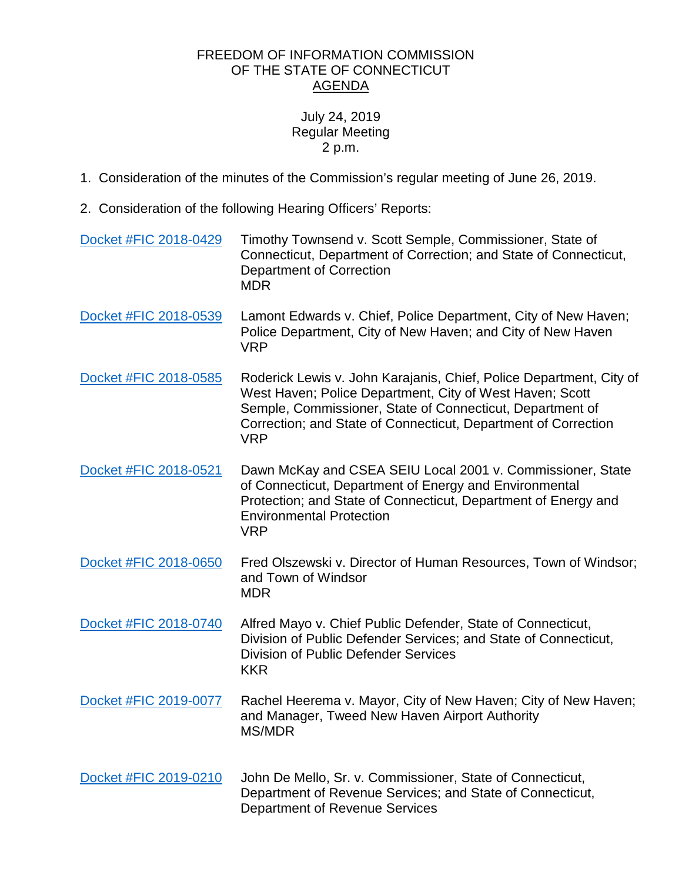## FREEDOM OF INFORMATION COMMISSION OF THE STATE OF CONNECTICUT AGENDA

## July 24, 2019 Regular Meeting 2 p.m.

- 1. Consideration of the minutes of the Commission's regular meeting of June 26, 2019.
- 2. Consideration of the following Hearing Officers' Reports:

| Docket #FIC 2018-0429 | Timothy Townsend v. Scott Semple, Commissioner, State of<br>Connecticut, Department of Correction; and State of Connecticut,<br><b>Department of Correction</b><br><b>MDR</b>                                                                                                |
|-----------------------|------------------------------------------------------------------------------------------------------------------------------------------------------------------------------------------------------------------------------------------------------------------------------|
| Docket #FIC 2018-0539 | Lamont Edwards v. Chief, Police Department, City of New Haven;<br>Police Department, City of New Haven; and City of New Haven<br><b>VRP</b>                                                                                                                                  |
| Docket #FIC 2018-0585 | Roderick Lewis v. John Karajanis, Chief, Police Department, City of<br>West Haven; Police Department, City of West Haven; Scott<br>Semple, Commissioner, State of Connecticut, Department of<br>Correction; and State of Connecticut, Department of Correction<br><b>VRP</b> |
| Docket #FIC 2018-0521 | Dawn McKay and CSEA SEIU Local 2001 v. Commissioner, State<br>of Connecticut, Department of Energy and Environmental<br>Protection; and State of Connecticut, Department of Energy and<br><b>Environmental Protection</b><br><b>VRP</b>                                      |
| Docket #FIC 2018-0650 | Fred Olszewski v. Director of Human Resources, Town of Windsor;<br>and Town of Windsor<br><b>MDR</b>                                                                                                                                                                         |
| Docket #FIC 2018-0740 | Alfred Mayo v. Chief Public Defender, State of Connecticut,<br>Division of Public Defender Services; and State of Connecticut,<br><b>Division of Public Defender Services</b><br><b>KKR</b>                                                                                  |
| Docket #FIC 2019-0077 | Rachel Heerema v. Mayor, City of New Haven; City of New Haven;<br>and Manager, Tweed New Haven Airport Authority<br>MS/MDR                                                                                                                                                   |
| Docket #FIC 2019-0210 | John De Mello, Sr. v. Commissioner, State of Connecticut,<br>Department of Revenue Services; and State of Connecticut,<br>Department of Revenue Services                                                                                                                     |